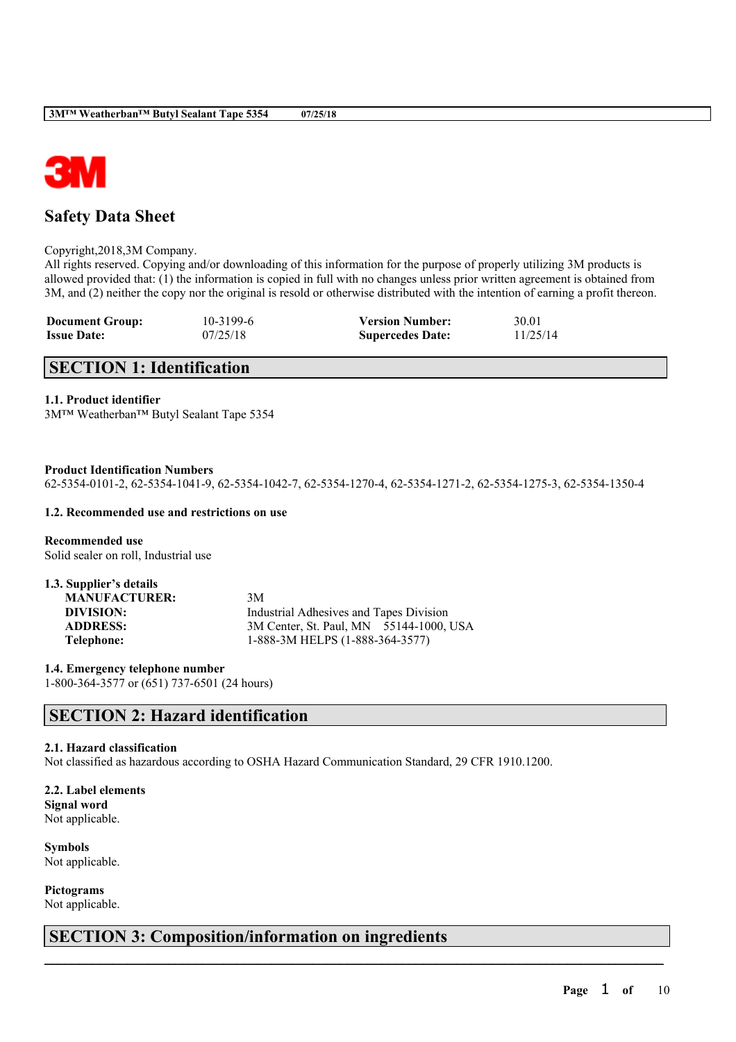

## **Safety Data Sheet**

Copyright,2018,3M Company.

All rights reserved. Copying and/or downloading of this information for the purpose of properly utilizing 3M products is allowed provided that: (1) the information is copied in full with no changes unless prior written agreement is obtained from 3M, and (2) neither the copy nor the original is resold or otherwise distributed with the intention of earning a profit thereon.

| <b>Document Group:</b> | 10-3199-6 | <b>Version Number:</b>  | 30.01    |
|------------------------|-----------|-------------------------|----------|
| <b>Issue Date:</b>     | 07/25/18  | <b>Supercedes Date:</b> | 11/25/14 |

## **SECTION 1: Identification**

#### **1.1. Product identifier**

3M™ Weatherban™ Butyl Sealant Tape 5354

**Product Identification Numbers**

62-5354-0101-2, 62-5354-1041-9, 62-5354-1042-7, 62-5354-1270-4, 62-5354-1271-2, 62-5354-1275-3, 62-5354-1350-4

#### **1.2. Recommended use and restrictions on use**

**Recommended use** Solid sealer on roll, Industrial use

| 1.3. Supplier's details |                                         |
|-------------------------|-----------------------------------------|
| <b>MANUFACTURER:</b>    | 3M                                      |
| DIVISION:               | Industrial Adhesives and Tapes Division |
| <b>ADDRESS:</b>         | 3M Center, St. Paul, MN 55144-1000, USA |
| Telephone:              | 1-888-3M HELPS (1-888-364-3577)         |

**1.4. Emergency telephone number** 1-800-364-3577 or (651) 737-6501 (24 hours)

## **SECTION 2: Hazard identification**

#### **2.1. Hazard classification**

Not classified as hazardous according to OSHA Hazard Communication Standard, 29 CFR 1910.1200.

 $\mathcal{L}_\mathcal{L} = \mathcal{L}_\mathcal{L} = \mathcal{L}_\mathcal{L} = \mathcal{L}_\mathcal{L} = \mathcal{L}_\mathcal{L} = \mathcal{L}_\mathcal{L} = \mathcal{L}_\mathcal{L} = \mathcal{L}_\mathcal{L} = \mathcal{L}_\mathcal{L} = \mathcal{L}_\mathcal{L} = \mathcal{L}_\mathcal{L} = \mathcal{L}_\mathcal{L} = \mathcal{L}_\mathcal{L} = \mathcal{L}_\mathcal{L} = \mathcal{L}_\mathcal{L} = \mathcal{L}_\mathcal{L} = \mathcal{L}_\mathcal{L}$ 

**2.2. Label elements Signal word** Not applicable.

**Symbols** Not applicable.

**Pictograms**

Not applicable.

## **SECTION 3: Composition/information on ingredients**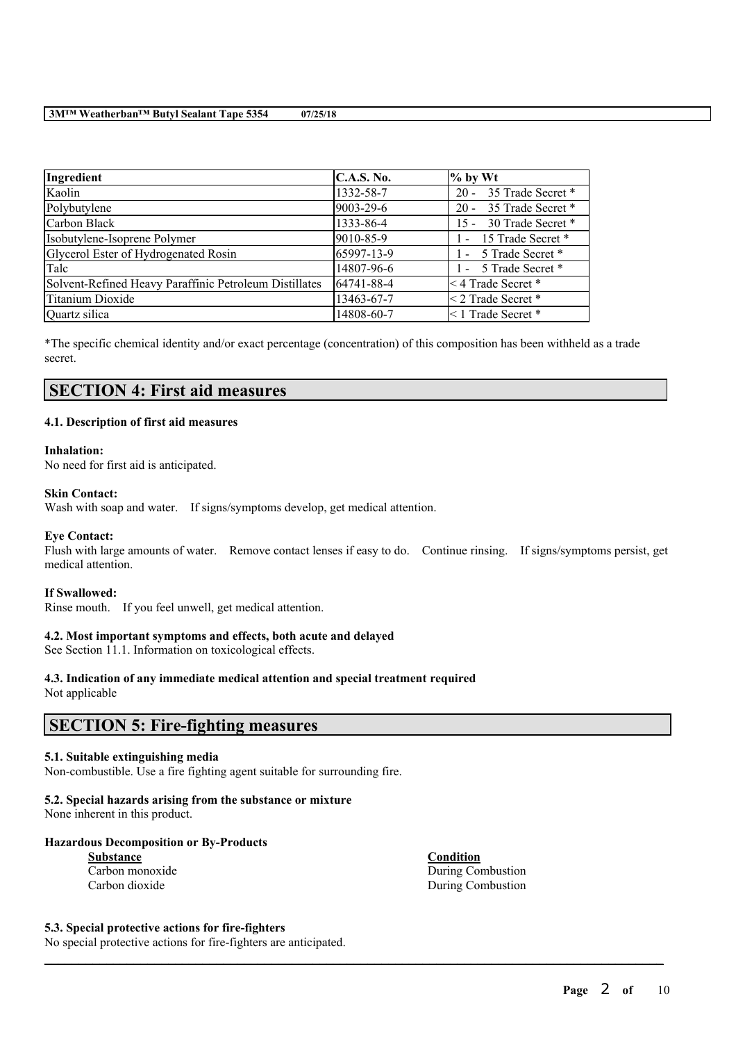| Ingredient                                             | <b>C.A.S. No.</b> | $%$ by Wt                   |
|--------------------------------------------------------|-------------------|-----------------------------|
| Kaolin                                                 | 1332-58-7         | 35 Trade Secret *<br>$20 -$ |
| Polybutylene                                           | 9003-29-6         | 35 Trade Secret *<br>$20 -$ |
| Carbon Black                                           | 1333-86-4         | 30 Trade Secret *<br>$15 -$ |
| Isobutylene-Isoprene Polymer                           | 9010-85-9         | 1 - 15 Trade Secret *       |
| Glycerol Ester of Hydrogenated Rosin                   | 65997-13-9        | 1 - 5 Trade Secret *        |
| Talc                                                   | 14807-96-6        | 1 - 5 Trade Secret *        |
| Solvent-Refined Heavy Paraffinic Petroleum Distillates | 64741-88-4        | $\leq$ 4 Trade Secret *     |
| Titanium Dioxide                                       | 13463-67-7        | $<$ 2 Trade Secret $*$      |
| Quartz silica                                          | 14808-60-7        | $\leq$ 1 Trade Secret *     |

\*The specific chemical identity and/or exact percentage (concentration) of this composition has been withheld as a trade secret.

## **SECTION 4: First aid measures**

#### **4.1. Description of first aid measures**

#### **Inhalation:**

No need for first aid is anticipated.

#### **Skin Contact:**

Wash with soap and water. If signs/symptoms develop, get medical attention.

#### **Eye Contact:**

Flush with large amounts of water. Remove contact lenses if easy to do. Continue rinsing. If signs/symptoms persist, get medical attention.

 $\mathcal{L}_\mathcal{L} = \mathcal{L}_\mathcal{L} = \mathcal{L}_\mathcal{L} = \mathcal{L}_\mathcal{L} = \mathcal{L}_\mathcal{L} = \mathcal{L}_\mathcal{L} = \mathcal{L}_\mathcal{L} = \mathcal{L}_\mathcal{L} = \mathcal{L}_\mathcal{L} = \mathcal{L}_\mathcal{L} = \mathcal{L}_\mathcal{L} = \mathcal{L}_\mathcal{L} = \mathcal{L}_\mathcal{L} = \mathcal{L}_\mathcal{L} = \mathcal{L}_\mathcal{L} = \mathcal{L}_\mathcal{L} = \mathcal{L}_\mathcal{L}$ 

#### **If Swallowed:**

Rinse mouth. If you feel unwell, get medical attention.

#### **4.2. Most important symptoms and effects, both acute and delayed**

See Section 11.1. Information on toxicological effects.

# **4.3. Indication of any immediate medical attention and special treatment required**

Not applicable

### **SECTION 5: Fire-fighting measures**

#### **5.1. Suitable extinguishing media**

Non-combustible. Use a fire fighting agent suitable for surrounding fire.

#### **5.2. Special hazards arising from the substance or mixture**

None inherent in this product.

#### **Hazardous Decomposition or By-Products**

| Substance       |  |  |  |
|-----------------|--|--|--|
| Carbon monoxide |  |  |  |
| Carbon dioxide  |  |  |  |

**Condition** During Combustion During Combustion

#### **5.3. Special protective actions for fire-fighters**

No special protective actions for fire-fighters are anticipated.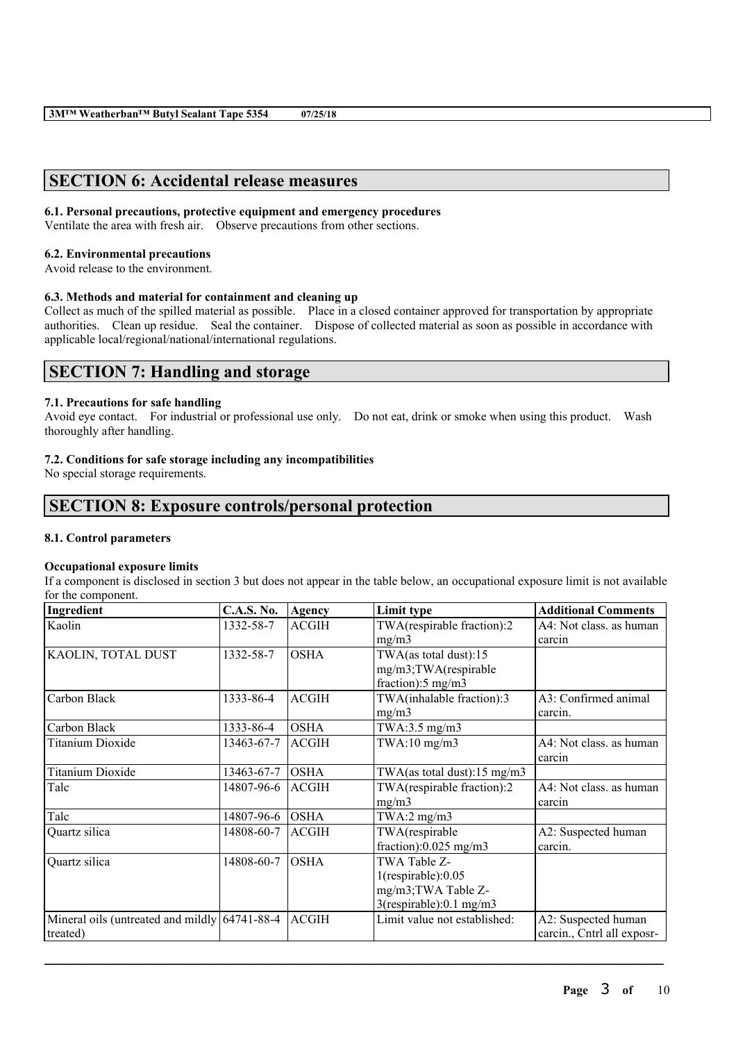## **SECTION 6: Accidental release measures**

#### **6.1. Personal precautions, protective equipment and emergency procedures**

Ventilate the area with fresh air. Observe precautions from other sections.

#### **6.2. Environmental precautions**

Avoid release to the environment.

### **6.3. Methods and material for containment and cleaning up**

Collect as much of the spilled material as possible. Place in a closed container approved for transportation by appropriate authorities. Clean up residue. Seal the container. Dispose of collected material as soon as possible in accordance with applicable local/regional/national/international regulations.

## **SECTION 7: Handling and storage**

#### **7.1. Precautions for safe handling**

Avoid eye contact. For industrial or professional use only. Do not eat, drink or smoke when using this product. Wash thoroughly after handling.

#### **7.2. Conditions for safe storage including any incompatibilities**

No special storage requirements.

## **SECTION 8: Exposure controls/personal protection**

#### **8.1. Control parameters**

#### **Occupational exposure limits**

If a component is disclosed in section 3 but does not appear in the table below, an occupational exposure limit is not available for the component.

| Ingredient                                        | <b>C.A.S. No.</b> | <b>Agency</b> | Limit type                     | <b>Additional Comments</b> |
|---------------------------------------------------|-------------------|---------------|--------------------------------|----------------------------|
| Kaolin                                            | 1332-58-7         | <b>ACGIH</b>  | TWA(respirable fraction):2     | A4: Not class, as human    |
|                                                   |                   |               | mg/m3                          | carcin                     |
| KAOLIN, TOTAL DUST                                | 1332-58-7         | <b>OSHA</b>   | TWA(as total dust):15          |                            |
|                                                   |                   |               | mg/m3;TWA(respirable           |                            |
|                                                   |                   |               | fraction): $5 \text{ mg/m}$ 3  |                            |
| Carbon Black                                      | 1333-86-4         | <b>ACGIH</b>  | TWA(inhalable fraction):3      | A3: Confirmed animal       |
|                                                   |                   |               | mg/m3                          | carcin.                    |
| Carbon Black                                      | 1333-86-4         | <b>OSHA</b>   | TWA:3.5 mg/m3                  |                            |
| <b>Titanium Dioxide</b>                           | 13463-67-7        | <b>ACGIH</b>  | $TWA:10$ mg/m $3$              | A4: Not class, as human    |
|                                                   |                   |               |                                | carcin                     |
| <b>Titanium Dioxide</b>                           | 13463-67-7        | <b>OSHA</b>   | TWA(as total dust):15 mg/m3    |                            |
| Talc                                              | 14807-96-6        | <b>ACGIH</b>  | TWA(respirable fraction):2     | A4: Not class. as human    |
|                                                   |                   |               | mg/m3                          | carcin                     |
| Talc                                              | 14807-96-6        | <b>OSHA</b>   | TWA:2 $mg/m3$                  |                            |
| Quartz silica                                     | 14808-60-7        | <b>ACGIH</b>  | TWA(respirable                 | A2: Suspected human        |
|                                                   |                   |               | fraction): $0.025$ mg/m3       | carcin.                    |
| Quartz silica                                     | 14808-60-7        | <b>OSHA</b>   | TWA Table Z-                   |                            |
|                                                   |                   |               | $1$ (respirable): $0.05$       |                            |
|                                                   |                   |               | mg/m3;TWA Table Z-             |                            |
|                                                   |                   |               | $3$ (respirable): 0.1 mg/m $3$ |                            |
| Mineral oils (untreated and mildly $64741-88-4$ ) |                   | <b>ACGIH</b>  | Limit value not established:   | A2: Suspected human        |
| treated)                                          |                   |               |                                | carcin., Cntrl all exposr- |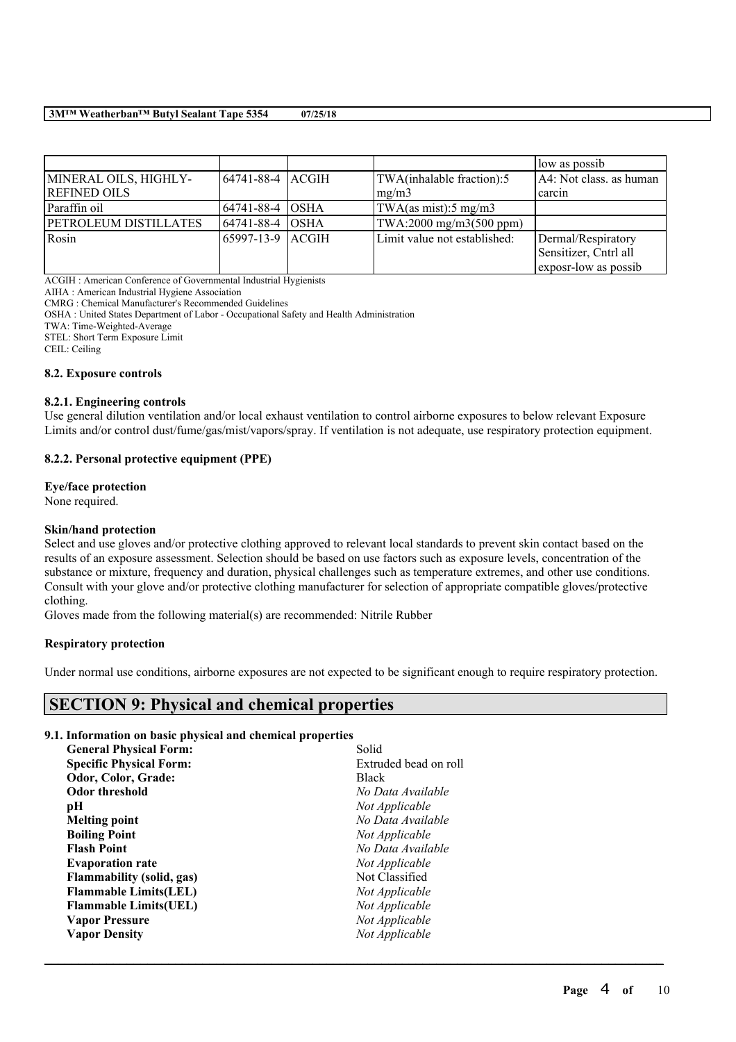|                              |                   |                              | low as possib           |
|------------------------------|-------------------|------------------------------|-------------------------|
| MINERAL OILS, HIGHLY-        | 64741-88-4  ACGIH | TWA(inhalable fraction):5    | A4: Not class. as human |
| <b>REFINED OILS</b>          |                   | mg/m3                        | l carcin                |
| Paraffin oil                 | 64741-88-4  OSHA  | TWA(as mist):5 mg/m3         |                         |
| <b>PETROLEUM DISTILLATES</b> | 64741-88-4  OSHA  | TWA:2000 mg/m3(500 ppm)      |                         |
| Rosin                        | 65997-13-9  ACGIH | Limit value not established: | Dermal/Respiratory      |
|                              |                   |                              | Sensitizer, Cntrl all   |
|                              |                   |                              | exposr-low as possib    |

ACGIH : American Conference of Governmental Industrial Hygienists

AIHA : American Industrial Hygiene Association

CMRG : Chemical Manufacturer's Recommended Guidelines

OSHA : United States Department of Labor - Occupational Safety and Health Administration

TWA: Time-Weighted-Average

STEL: Short Term Exposure Limit

CEIL: Ceiling

#### **8.2. Exposure controls**

#### **8.2.1. Engineering controls**

Use general dilution ventilation and/or local exhaust ventilation to control airborne exposures to below relevant Exposure Limits and/or control dust/fume/gas/mist/vapors/spray. If ventilation is not adequate, use respiratory protection equipment.

#### **8.2.2. Personal protective equipment (PPE)**

#### **Eye/face protection**

None required.

#### **Skin/hand protection**

Select and use gloves and/or protective clothing approved to relevant local standards to prevent skin contact based on the results of an exposure assessment. Selection should be based on use factors such as exposure levels, concentration of the substance or mixture, frequency and duration, physical challenges such as temperature extremes, and other use conditions. Consult with your glove and/or protective clothing manufacturer for selection of appropriate compatible gloves/protective clothing.

Gloves made from the following material(s) are recommended: Nitrile Rubber

#### **Respiratory protection**

Under normal use conditions, airborne exposures are not expected to be significant enough to require respiratory protection.

 $\mathcal{L}_\mathcal{L} = \mathcal{L}_\mathcal{L} = \mathcal{L}_\mathcal{L} = \mathcal{L}_\mathcal{L} = \mathcal{L}_\mathcal{L} = \mathcal{L}_\mathcal{L} = \mathcal{L}_\mathcal{L} = \mathcal{L}_\mathcal{L} = \mathcal{L}_\mathcal{L} = \mathcal{L}_\mathcal{L} = \mathcal{L}_\mathcal{L} = \mathcal{L}_\mathcal{L} = \mathcal{L}_\mathcal{L} = \mathcal{L}_\mathcal{L} = \mathcal{L}_\mathcal{L} = \mathcal{L}_\mathcal{L} = \mathcal{L}_\mathcal{L}$ 

## **SECTION 9: Physical and chemical properties**

#### **9.1. Information on basic physical and chemical properties**

| Solid                 |
|-----------------------|
| Extruded bead on roll |
| <b>Black</b>          |
| No Data Available     |
| Not Applicable        |
| No Data Available     |
| Not Applicable        |
| No Data Available     |
| Not Applicable        |
| Not Classified        |
| Not Applicable        |
| Not Applicable        |
| Not Applicable        |
| Not Applicable        |
|                       |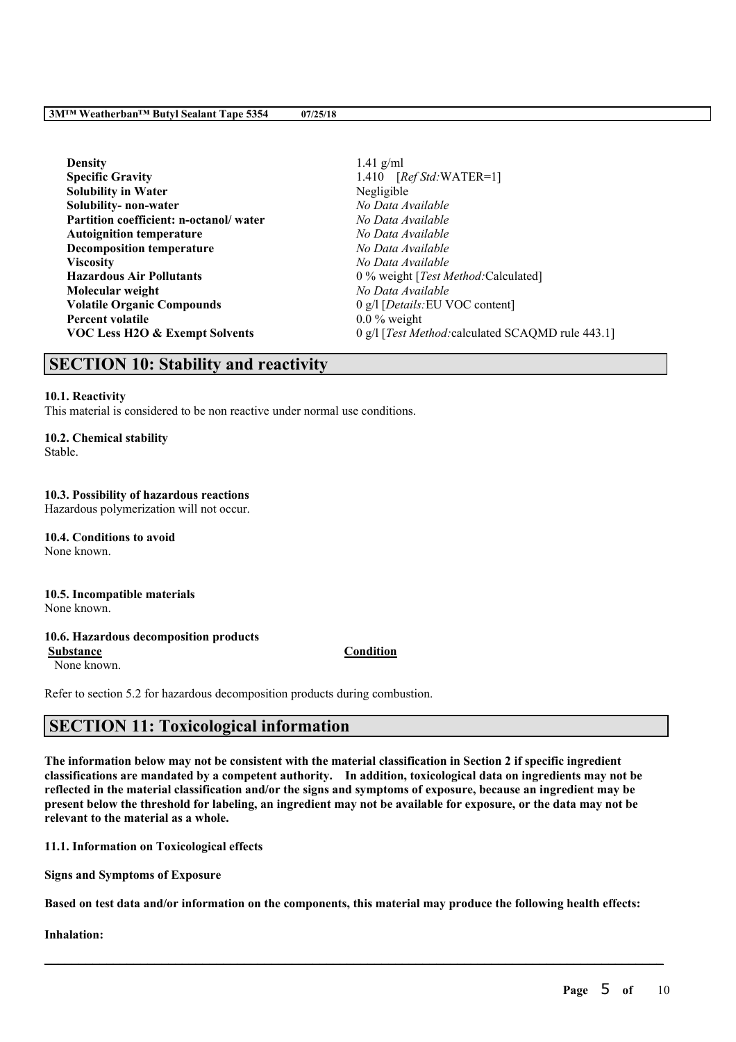| $1.41$ g/ml                                       |
|---------------------------------------------------|
| $[RefStd:WATER=1]$<br>1.410                       |
| Negligible                                        |
| No Data Available                                 |
| No Data Available                                 |
| No Data Available                                 |
| No Data Available                                 |
| No Data Available                                 |
| 0 % weight [Test Method: Calculated]              |
| No Data Available                                 |
| $\alpha$ g/l [ <i>Details</i> : EU VOC content]   |
| $0.0\%$ weight                                    |
| 0 g/l [Test Method: calculated SCAQMD rule 443.1] |
|                                                   |

## **SECTION 10: Stability and reactivity**

#### **10.1. Reactivity**

This material is considered to be non reactive under normal use conditions.

#### **10.2. Chemical stability**

Stable.

#### **10.3. Possibility of hazardous reactions**

Hazardous polymerization will not occur.

**10.4. Conditions to avoid** None known.

### **10.5. Incompatible materials**

None known.

#### **10.6. Hazardous decomposition products**

None known.

Refer to section 5.2 for hazardous decomposition products during combustion.

## **SECTION 11: Toxicological information**

The information below may not be consistent with the material classification in Section 2 if specific ingredient **classifications are mandated by a competent authority. In addition, toxicological data on ingredients may not be** reflected in the material classification and/or the signs and symptoms of exposure, because an ingredient may be present below the threshold for labeling, an ingredient may not be available for exposure, or the data may not be **relevant to the material as a whole.**

**11.1. Information on Toxicological effects**

**Signs and Symptoms of Exposure**

Based on test data and/or information on the components, this material may produce the following health effects:

 $\mathcal{L}_\mathcal{L} = \mathcal{L}_\mathcal{L} = \mathcal{L}_\mathcal{L} = \mathcal{L}_\mathcal{L} = \mathcal{L}_\mathcal{L} = \mathcal{L}_\mathcal{L} = \mathcal{L}_\mathcal{L} = \mathcal{L}_\mathcal{L} = \mathcal{L}_\mathcal{L} = \mathcal{L}_\mathcal{L} = \mathcal{L}_\mathcal{L} = \mathcal{L}_\mathcal{L} = \mathcal{L}_\mathcal{L} = \mathcal{L}_\mathcal{L} = \mathcal{L}_\mathcal{L} = \mathcal{L}_\mathcal{L} = \mathcal{L}_\mathcal{L}$ 

**Inhalation:**

### **Substance Condition**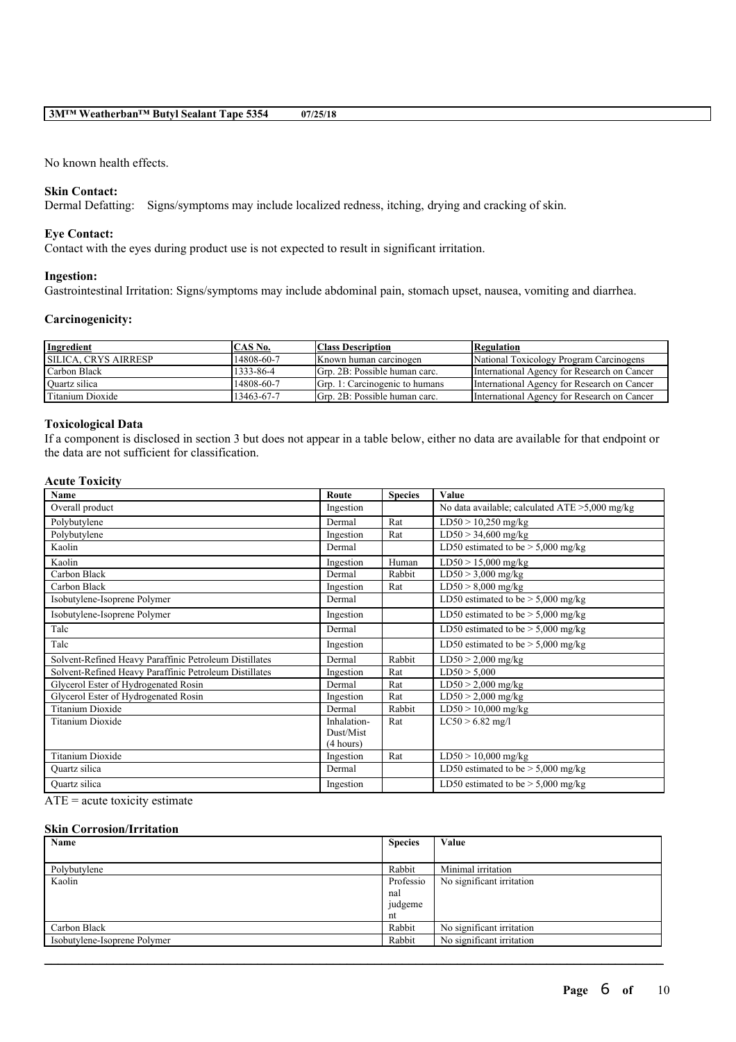No known health effects.

#### **Skin Contact:**

Dermal Defatting: Signs/symptoms may include localized redness, itching, drying and cracking of skin.

### **Eye Contact:**

Contact with the eyes during product use is not expected to result in significant irritation.

#### **Ingestion:**

Gastrointestinal Irritation: Signs/symptoms may include abdominal pain, stomach upset, nausea, vomiting and diarrhea.

#### **Carcinogenicity:**

| Ingredient                  | ICAS No.   | <b>Class Description</b>        | Regulation                                  |
|-----------------------------|------------|---------------------------------|---------------------------------------------|
| <b>SILICA. CRYS AIRRESP</b> | 14808-60-7 | Known human carcinogen          | National Toxicology Program Carcinogens     |
| Carbon Black                | 1333-86-4  | Grp. 2B: Possible human carc.   | International Agency for Research on Cancer |
| Quartz silica               | 14808-60-7 | IGrp. 1: Carcinogenic to humans | International Agency for Research on Cancer |
| Titanium Dioxide            | 13463-67-7 | Grp. 2B: Possible human carc.   | International Agency for Research on Cancer |

#### **Toxicological Data**

If a component is disclosed in section 3 but does not appear in a table below, either no data are available for that endpoint or the data are not sufficient for classification.

### **Acute Toxicity**

| Name                                                   | Route       | <b>Species</b> | Value                                             |
|--------------------------------------------------------|-------------|----------------|---------------------------------------------------|
| Overall product                                        | Ingestion   |                | No data available; calculated $ATE > 5,000$ mg/kg |
| Polybutylene                                           | Dermal      | Rat            | $LD50 > 10,250$ mg/kg                             |
| Polybutylene                                           | Ingestion   | Rat            | $LD50 > 34,600$ mg/kg                             |
| Kaolin                                                 | Dermal      |                | LD50 estimated to be $> 5,000$ mg/kg              |
| Kaolin                                                 | Ingestion   | Human          | $LD50 > 15,000$ mg/kg                             |
| Carbon Black                                           | Dermal      | Rabbit         | $LD50 > 3,000$ mg/kg                              |
| Carbon Black                                           | Ingestion   | Rat            | $LD50 > 8,000$ mg/kg                              |
| Isobutylene-Isoprene Polymer                           | Dermal      |                | LD50 estimated to be $>$ 5,000 mg/kg              |
| Isobutylene-Isoprene Polymer                           | Ingestion   |                | LD50 estimated to be $>$ 5,000 mg/kg              |
| Talc                                                   | Dermal      |                | LD50 estimated to be $> 5,000$ mg/kg              |
| Talc                                                   | Ingestion   |                | LD50 estimated to be $>$ 5,000 mg/kg              |
| Solvent-Refined Heavy Paraffinic Petroleum Distillates | Dermal      | Rabbit         | $LD50 > 2,000$ mg/kg                              |
| Solvent-Refined Heavy Paraffinic Petroleum Distillates | Ingestion   | Rat            | LD50 > 5,000                                      |
| Glycerol Ester of Hydrogenated Rosin                   | Dermal      | Rat            | $LD50 > 2,000$ mg/kg                              |
| Glycerol Ester of Hydrogenated Rosin                   | Ingestion   | Rat            | $LD50 > 2,000$ mg/kg                              |
| <b>Titanium Dioxide</b>                                | Dermal      | Rabbit         | $LD50 > 10,000$ mg/kg                             |
| <b>Titanium Dioxide</b>                                | Inhalation- | Rat            | $LC50 > 6.82$ mg/l                                |
|                                                        | Dust/Mist   |                |                                                   |
|                                                        | (4 hours)   |                |                                                   |
| <b>Titanium Dioxide</b>                                | Ingestion   | Rat            | $LD50 > 10,000$ mg/kg                             |
| Quartz silica                                          | Dermal      |                | LD50 estimated to be $> 5,000$ mg/kg              |
| Quartz silica                                          | Ingestion   |                | LD50 estimated to be $> 5,000$ mg/kg              |

ATE = acute toxicity estimate

#### **Skin Corrosion/Irritation**

| Name                         | <b>Species</b> | Value                     |
|------------------------------|----------------|---------------------------|
|                              |                |                           |
| Polybutylene                 | Rabbit         | Minimal irritation        |
| Kaolin                       | Professio      | No significant irritation |
|                              | nal            |                           |
|                              | judgeme        |                           |
|                              | nt             |                           |
| Carbon Black                 | Rabbit         | No significant irritation |
| Isobutylene-Isoprene Polymer | Rabbit         | No significant irritation |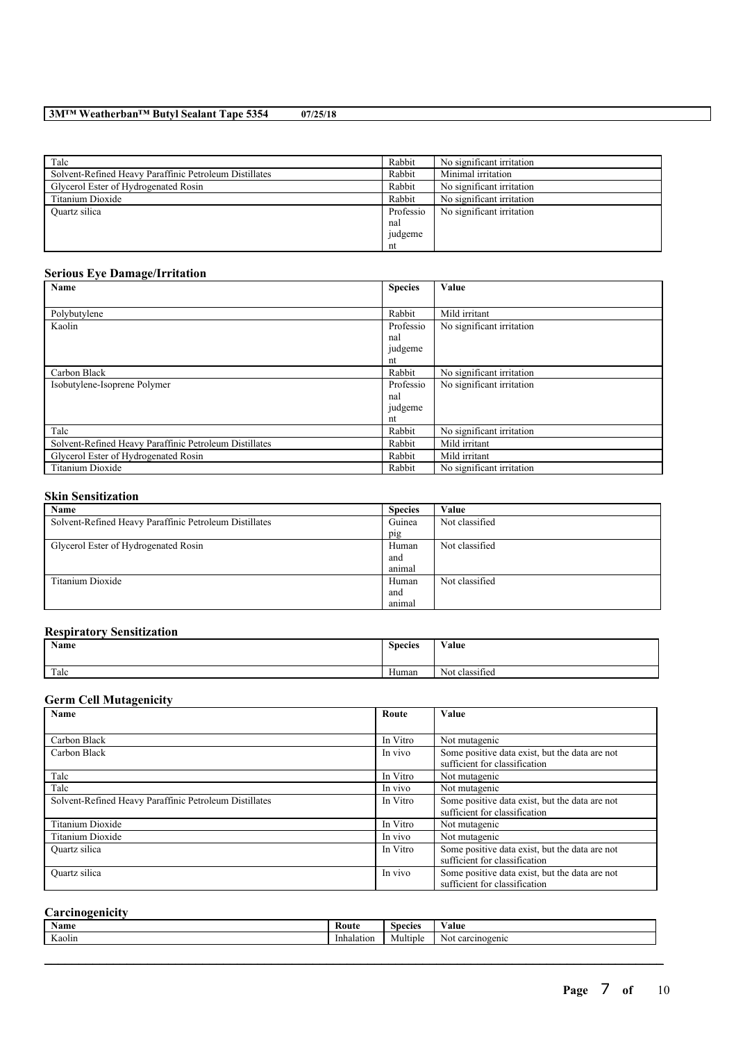| Talc                                                   | Rabbit    | No significant irritation |
|--------------------------------------------------------|-----------|---------------------------|
| Solvent-Refined Heavy Paraffinic Petroleum Distillates | Rabbit    | Minimal irritation        |
| Glycerol Ester of Hydrogenated Rosin                   | Rabbit    | No significant irritation |
| Titanium Dioxide                                       | Rabbit    | No significant irritation |
| Quartz silica                                          | Professio | No significant irritation |
|                                                        | nal       |                           |
|                                                        | judgeme   |                           |
|                                                        | nt        |                           |

### **Serious Eye Damage/Irritation**

| Name                                                   | <b>Species</b> | Value                     |
|--------------------------------------------------------|----------------|---------------------------|
|                                                        |                |                           |
| Polybutylene                                           | Rabbit         | Mild irritant             |
| Kaolin                                                 | Professio      | No significant irritation |
|                                                        | nal            |                           |
|                                                        | judgeme        |                           |
|                                                        | nt             |                           |
| Carbon Black                                           | Rabbit         | No significant irritation |
| Isobutylene-Isoprene Polymer                           | Professio      | No significant irritation |
|                                                        | nal            |                           |
|                                                        | judgeme        |                           |
|                                                        | nt             |                           |
| Talc                                                   | Rabbit         | No significant irritation |
| Solvent-Refined Heavy Paraffinic Petroleum Distillates | Rabbit         | Mild irritant             |
| Glycerol Ester of Hydrogenated Rosin                   | Rabbit         | Mild irritant             |
| Titanium Dioxide                                       | Rabbit         | No significant irritation |

### **Skin Sensitization**

| Name                                                   | <b>Species</b> | Value          |
|--------------------------------------------------------|----------------|----------------|
| Solvent-Refined Heavy Paraffinic Petroleum Distillates | Guinea         | Not classified |
|                                                        | pig            |                |
| Glycerol Ester of Hydrogenated Rosin                   | Human          | Not classified |
|                                                        | and            |                |
|                                                        | animal         |                |
| Titanium Dioxide                                       | Human          | Not classified |
|                                                        | and            |                |
|                                                        | animal         |                |

### **Respiratory Sensitization**

| Name | <b>Species</b> | Value          |
|------|----------------|----------------|
| Talc | Human          | Not classified |

### **Germ Cell Mutagenicity**

| <b>Name</b>                                            | Route    | Value                                          |
|--------------------------------------------------------|----------|------------------------------------------------|
|                                                        |          |                                                |
| Carbon Black                                           | In Vitro | Not mutagenic                                  |
| Carbon Black                                           | In vivo  | Some positive data exist, but the data are not |
|                                                        |          | sufficient for classification                  |
| Talc                                                   | In Vitro | Not mutagenic                                  |
| Talc                                                   | In vivo  | Not mutagenic                                  |
| Solvent-Refined Heavy Paraffinic Petroleum Distillates | In Vitro | Some positive data exist, but the data are not |
|                                                        |          | sufficient for classification                  |
| Titanium Dioxide                                       | In Vitro | Not mutagenic                                  |
| Titanium Dioxide                                       | In vivo  | Not mutagenic                                  |
| Quartz silica                                          | In Vitro | Some positive data exist, but the data are not |
|                                                        |          | sufficient for classification                  |
| Quartz silica                                          | In vivo  | Some positive data exist, but the data are not |
|                                                        |          | sufficient for classification                  |

### **Carcinogenicity**

| <b>Name</b>                          | Kouto    | Species | ′alue      |
|--------------------------------------|----------|---------|------------|
| <b>YY</b><br>$\sim$ $\sim$<br>Caolin | nalatior | .       | NΩ<br>enio |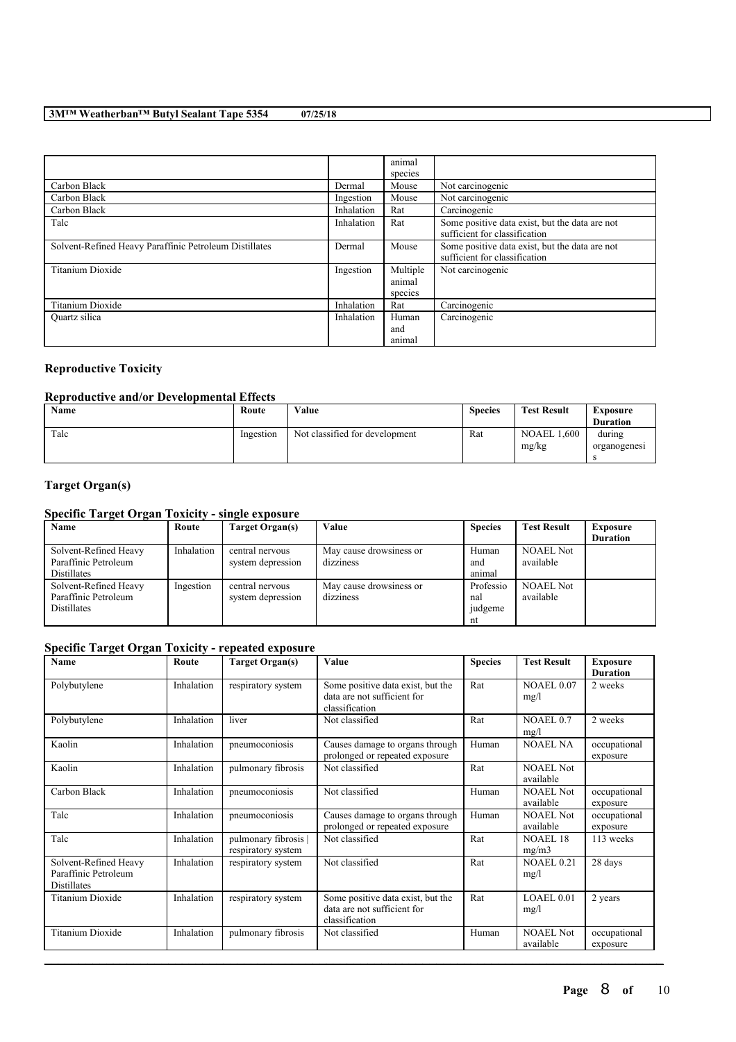|                                                        |            | animal   |                                                |
|--------------------------------------------------------|------------|----------|------------------------------------------------|
|                                                        |            | species  |                                                |
| Carbon Black                                           | Dermal     | Mouse    | Not carcinogenic                               |
| Carbon Black                                           | Ingestion  | Mouse    | Not carcinogenic                               |
| Carbon Black                                           | Inhalation | Rat      | Carcinogenic                                   |
| Talc                                                   | Inhalation | Rat      | Some positive data exist, but the data are not |
|                                                        |            |          | sufficient for classification                  |
| Solvent-Refined Heavy Paraffinic Petroleum Distillates | Dermal     | Mouse    | Some positive data exist, but the data are not |
|                                                        |            |          | sufficient for classification                  |
| Titanium Dioxide                                       | Ingestion  | Multiple | Not carcinogenic                               |
|                                                        |            | animal   |                                                |
|                                                        |            | species  |                                                |
| Titanium Dioxide                                       | Inhalation | Rat      | Carcinogenic                                   |
| Quartz silica                                          | Inhalation | Human    | Carcinogenic                                   |
|                                                        |            | and      |                                                |
|                                                        |            | animal   |                                                |

### **Reproductive Toxicity**

### **Reproductive and/or Developmental Effects**

| Name | Route     | Value                          | <b>Species</b> | <b>Test Result</b>        | Exposure<br><b>Duration</b> |
|------|-----------|--------------------------------|----------------|---------------------------|-----------------------------|
| Talc | Ingestion | Not classified for development | Rat            | .600<br>NOAEL 1.<br>mg/kg | during<br>organogenesi      |

## **Target Organ(s)**

### **Specific Target Organ Toxicity - single exposure**

| Name                  | Route      | Target Organ(s)   | Value                   | <b>Species</b> | <b>Test Result</b> | <b>Exposure</b> |
|-----------------------|------------|-------------------|-------------------------|----------------|--------------------|-----------------|
|                       |            |                   |                         |                |                    | <b>Duration</b> |
| Solvent-Refined Heavy | Inhalation | central nervous   | May cause drowsiness or | Human          | <b>NOAEL Not</b>   |                 |
| Paraffinic Petroleum  |            | system depression | dizziness               | and            | available          |                 |
| Distillates           |            |                   |                         | animal         |                    |                 |
| Solvent-Refined Heavy | Ingestion  | central nervous   | May cause drowsiness or | Professio      | <b>NOAEL Not</b>   |                 |
| Paraffinic Petroleum  |            | system depression | dizziness               | nal            | available          |                 |
| <b>Distillates</b>    |            |                   |                         | judgeme        |                    |                 |
|                       |            |                   |                         | nt             |                    |                 |

### **Specific Target Organ Toxicity - repeated exposure**

| Name                                                         | Route      | <b>Target Organ(s)</b>                     | Value                                                                              | <b>Species</b> | <b>Test Result</b>            | <b>Exposure</b><br><b>Duration</b> |
|--------------------------------------------------------------|------------|--------------------------------------------|------------------------------------------------------------------------------------|----------------|-------------------------------|------------------------------------|
| Polybutylene                                                 | Inhalation | respiratory system                         | Some positive data exist, but the<br>data are not sufficient for<br>classification | Rat            | <b>NOAEL 0.07</b><br>mg/l     | 2 weeks                            |
| Polybutylene                                                 | Inhalation | liver                                      | Not classified                                                                     | Rat            | NOAEL 0.7<br>mg/l             | 2 weeks                            |
| Kaolin                                                       | Inhalation | pneumoconiosis                             | Causes damage to organs through<br>prolonged or repeated exposure                  | Human          | <b>NOAEL NA</b>               | occupational<br>exposure           |
| Kaolin                                                       | Inhalation | pulmonary fibrosis                         | Not classified                                                                     | Rat            | <b>NOAEL Not</b><br>available |                                    |
| Carbon Black                                                 | Inhalation | pneumoconiosis                             | Not classified                                                                     | Human          | <b>NOAEL Not</b><br>available | occupational<br>exposure           |
| Talc                                                         | Inhalation | pneumoconiosis                             | Causes damage to organs through<br>prolonged or repeated exposure                  | Human          | <b>NOAEL Not</b><br>available | occupational<br>exposure           |
| Talc                                                         | Inhalation | pulmonary fibrosis  <br>respiratory system | Not classified                                                                     | Rat            | <b>NOAEL 18</b><br>mg/m3      | 113 weeks                          |
| Solvent-Refined Heavy<br>Paraffinic Petroleum<br>Distillates | Inhalation | respiratory system                         | Not classified                                                                     | Rat            | <b>NOAEL 0.21</b><br>mg/l     | 28 days                            |
| Titanium Dioxide                                             | Inhalation | respiratory system                         | Some positive data exist, but the<br>data are not sufficient for<br>classification | Rat            | LOAEL 0.01<br>mg/l            | 2 years                            |
| <b>Titanium Dioxide</b>                                      | Inhalation | pulmonary fibrosis                         | Not classified                                                                     | Human          | <b>NOAEL Not</b><br>available | occupational<br>exposure           |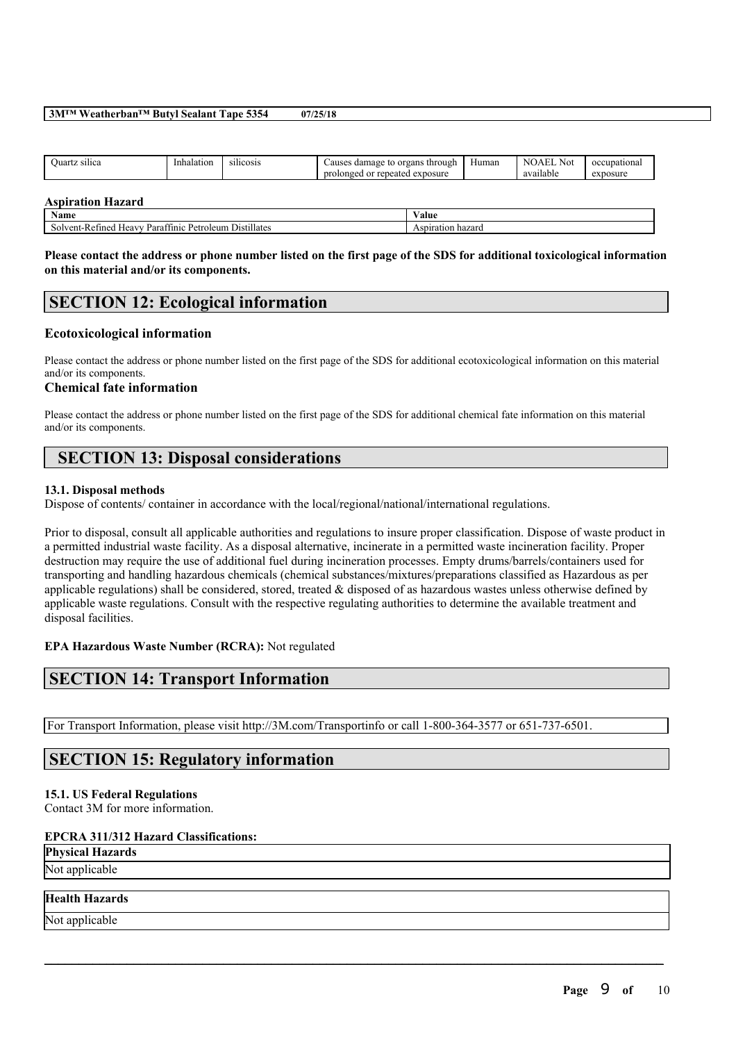| Ouartz silica            | Inhalation | silicosis | Causes damage to organs through<br>prolonged or repeated exposure | Human | NOAEL Not<br>available | occupational<br>exposure |
|--------------------------|------------|-----------|-------------------------------------------------------------------|-------|------------------------|--------------------------|
| <b>Aspiration Hazard</b> |            |           |                                                                   |       |                        |                          |

### **Name Value** Solvent-Refined Heavy Paraffinic Petroleum Distillates Aspiration hazard

#### Please contact the address or phone number listed on the first page of the SDS for additional toxicological information **on this material and/or its components.**

## **SECTION 12: Ecological information**

### **Ecotoxicological information**

Please contact the address or phone number listed on the first page of the SDS for additional ecotoxicological information on this material and/or its components.

#### **Chemical fate information**

Please contact the address or phone number listed on the first page of the SDS for additional chemical fate information on this material and/or its components.

## **SECTION 13: Disposal considerations**

#### **13.1. Disposal methods**

Dispose of contents/ container in accordance with the local/regional/national/international regulations.

Prior to disposal, consult all applicable authorities and regulations to insure proper classification. Dispose of waste product in a permitted industrial waste facility. As a disposal alternative, incinerate in a permitted waste incineration facility. Proper destruction may require the use of additional fuel during incineration processes. Empty drums/barrels/containers used for transporting and handling hazardous chemicals (chemical substances/mixtures/preparations classified as Hazardous as per applicable regulations) shall be considered, stored, treated & disposed of as hazardous wastes unless otherwise defined by applicable waste regulations. Consult with the respective regulating authorities to determine the available treatment and disposal facilities.

 $\mathcal{L}_\mathcal{L} = \mathcal{L}_\mathcal{L} = \mathcal{L}_\mathcal{L} = \mathcal{L}_\mathcal{L} = \mathcal{L}_\mathcal{L} = \mathcal{L}_\mathcal{L} = \mathcal{L}_\mathcal{L} = \mathcal{L}_\mathcal{L} = \mathcal{L}_\mathcal{L} = \mathcal{L}_\mathcal{L} = \mathcal{L}_\mathcal{L} = \mathcal{L}_\mathcal{L} = \mathcal{L}_\mathcal{L} = \mathcal{L}_\mathcal{L} = \mathcal{L}_\mathcal{L} = \mathcal{L}_\mathcal{L} = \mathcal{L}_\mathcal{L}$ 

**EPA Hazardous Waste Number (RCRA):** Not regulated

## **SECTION 14: Transport Information**

For Transport Information, please visit http://3M.com/Transportinfo or call 1-800-364-3577 or 651-737-6501.

### **SECTION 15: Regulatory information**

#### **15.1. US Federal Regulations**

Contact 3M for more information.

#### **EPCRA 311/312 Hazard Classifications:**

**Physical Hazards**

# Not applicable

### **Health Hazards**

Not applicable